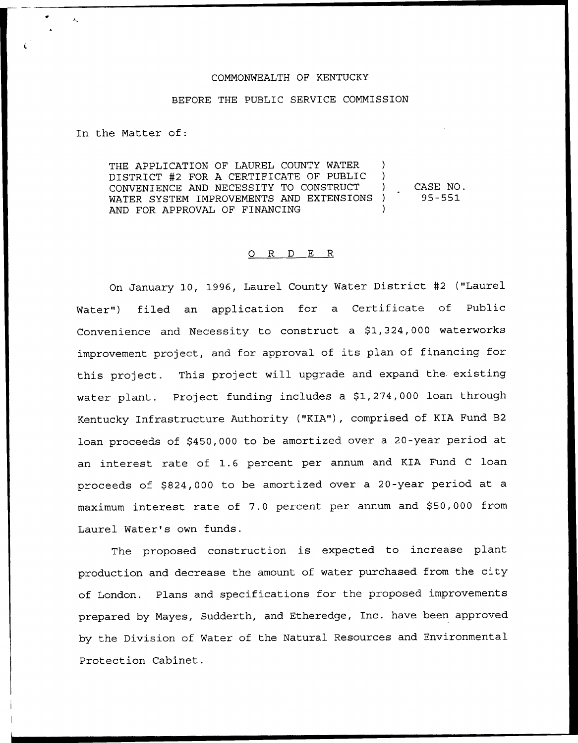## COMMONWEALTH OF KENTUCKY

## BEFORE THE PUBLIC SERVICE COMMISSION

In the Matter of:

THE APPLICATION OF LAUREL COUNTY WATER  $\rightarrow$ DISTRICT #2 FOR A CERTIFICATE OF PUBLIC ) CONVENIENCE AND NECESSITY TO CONSTRUCT ) CASE NO. WATER SYSTEM IMPROVEMENTS AND EXTENSIONS ) AND FOR APPROVAL OF FINANCING

## 0 R <sup>D</sup> E R

On January 10, 1996, Laurel County Water District <sup>42</sup> ("Laurel Water") filed an application for a Certificate of Public Convenience and Necessity to construct a \$1,324,000 waterworks improvement project, and for approval of its plan of financing for this project. This project will upgrade and expand the. existing water plant. Project funding includes a \$1,274,000 loan through Kentucky Infrastructure Authority ("KIA"), comprised of KIA Fund B2 loan proceeds of \$450,000 to be amortized over <sup>a</sup> 20-year period at an interest rate of 1.6 percent per annum and KIA Fund <sup>C</sup> loan proceeds of \$824,000 to be amortized over a 20-year period at a maximum interest rate of 7.0 percent per annum and \$50,000 from Laurel Water's own funds.

The proposed construction is expected to increase plant production and decrease the amount of water purchased from the city of London. Plans and specifications for the proposed improvements prepared by Mayes, Sudderth, and Etheredge, Inc. have been approved by the Division of Water of the Natural Resources and Environmental Protection Cabinet.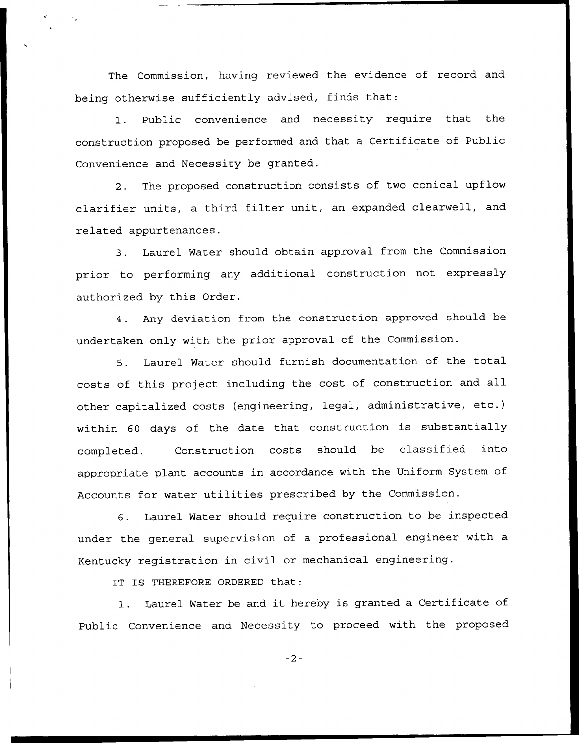The Commission, having reviewed the evidence of record and being otherwise sufficiently advised, finds that:

1. Public convenience and necessity require that the construction proposed be performed and that a Certificate of Public Convenience and Necessity be granted.

2. The proposed construction consists of two conical upflow clarifier units, <sup>a</sup> third filter unit, an expanded clearwell, and related appurtenances.

3. Laurel Water should obtain approval from the Commission prior to performing any additional construction not expressly authorized by this Order.

4. Any deviation from the construction approved should be undertaken only with the prior approval of the Commission.

S. Laurel Water should furnish documentation of the total costs of this project including the cost of construction and all other capitalized costs (engineering, legal, administrative, etc.) within <sup>60</sup> days of the date that construction is substantially completed. Construction costs should be classified into appropriate plant accounts in accordance with the Uniform System of Accounts for water utilities prescribed by the Commission.

6. Laurel Water should require construction to be inspected under the general supervision of a professional engineer with a Kentucky registration in civil or mechanical engineering.

IT IS THEREFORE ORDERED that:

1. Laurel Water be and it hereby is granted <sup>a</sup> Certificate of Public Convenience and Necessity to proceed with the proposed

 $-2-$